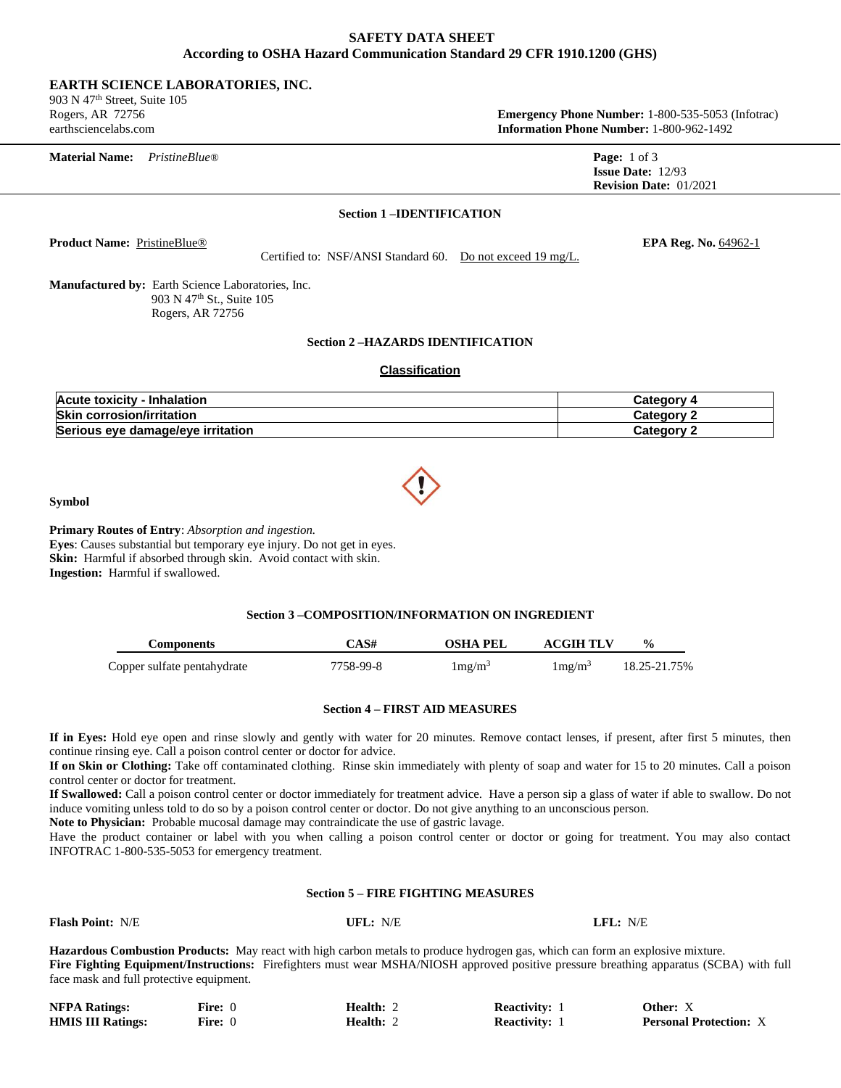# **SAFETY DATA SHEET According to OSHA Hazard Communication Standard 29 CFR 1910.1200 (GHS)**

## **EARTH SCIENCE LABORATORIES, INC.**

903 N 47th Street, Suite 105

Rogers, AR 72756 **Emergency Phone Number:** 1-800-535-5053 (Infotrac) earthsciencelabs.com **Information Phone Number:** 1-800-962-1492

| <b>Material Name:</b> | PristineBlue@ | <b>Page:</b> $1$ of $3$       |
|-----------------------|---------------|-------------------------------|
|                       |               | <b>Issue Date:</b> $12/93$    |
|                       |               | <b>Revision Date: 01/2021</b> |
|                       |               |                               |

### **Section 1 –IDENTIFICATION**

**Product Name:** PristineBlue® **EPA Reg. No.** 64962-1

Certified to: NSF/ANSI Standard 60. Do not exceed 19 mg/L.

**Manufactured by:** Earth Science Laboratories, Inc. 903 N 47<sup>th</sup> St., Suite 105 Rogers, AR 72756

## **Section 2 –HAZARDS IDENTIFICATION**

# **Classification**

| Acute toxicity - Inhalation       | こateɑorv   |
|-----------------------------------|------------|
| <b>Skin corrosion/irritation</b>  | Category 2 |
| Serious eye damage/eye irritation | Category 2 |

**Symbol** 

**Primary Routes of Entry**: *Absorption and ingestion.*

**Eyes**: Causes substantial but temporary eye injury. Do not get in eyes. **Skin:** Harmful if absorbed through skin. Avoid contact with skin. **Ingestion:** Harmful if swallowed.

## **Section 3 –COMPOSITION/INFORMATION ON INGREDIENT**

| Components                  | CAS#      | OSHA PEL          | <b>ACGIH TLV</b>  | $\frac{0}{0}$ |
|-----------------------------|-----------|-------------------|-------------------|---------------|
| Copper sulfate pentahydrate | 7758-99-8 | $1 \text{mg/m}^3$ | $1 \text{mg/m}^3$ | 18.25-21.75%  |

## **Section 4 – FIRST AID MEASURES**

**If in Eyes:** Hold eye open and rinse slowly and gently with water for 20 minutes. Remove contact lenses, if present, after first 5 minutes, then continue rinsing eye. Call a poison control center or doctor for advice.

**If on Skin or Clothing:** Take off contaminated clothing. Rinse skin immediately with plenty of soap and water for 15 to 20 minutes. Call a poison control center or doctor for treatment.

**If Swallowed:** Call a poison control center or doctor immediately for treatment advice. Have a person sip a glass of water if able to swallow. Do not induce vomiting unless told to do so by a poison control center or doctor. Do not give anything to an unconscious person.

**Note to Physician:** Probable mucosal damage may contraindicate the use of gastric lavage.

Have the product container or label with you when calling a poison control center or doctor or going for treatment. You may also contact INFOTRAC 1-800-535-5053 for emergency treatment.

# **Section 5 – FIRE FIGHTING MEASURES**

| <b>Flash Point: N/E</b>                  | UFL: $N/E$ | LFL: N/E                                                                                                                                |
|------------------------------------------|------------|-----------------------------------------------------------------------------------------------------------------------------------------|
|                                          |            | <b>Hazardous Combustion Products:</b> May react with high carbon metals to produce hydrogen gas, which can form an explosive mixture.   |
|                                          |            | Fire Fighting Equipment/Instructions: Firefighters must wear MSHA/NIOSH approved positive pressure breathing apparatus (SCBA) with full |
| face mask and full protective equipment. |            |                                                                                                                                         |

| <b>NFPA Ratings:</b>     | <b>Fire:</b> 0 | Health: 2        | <b>Reactivity:</b> | Other: X                      |
|--------------------------|----------------|------------------|--------------------|-------------------------------|
| <b>HMIS III Ratings:</b> | <b>Fire:</b> 0 | <b>Health: 2</b> | <b>Reactivity:</b> | <b>Personal Protection: X</b> |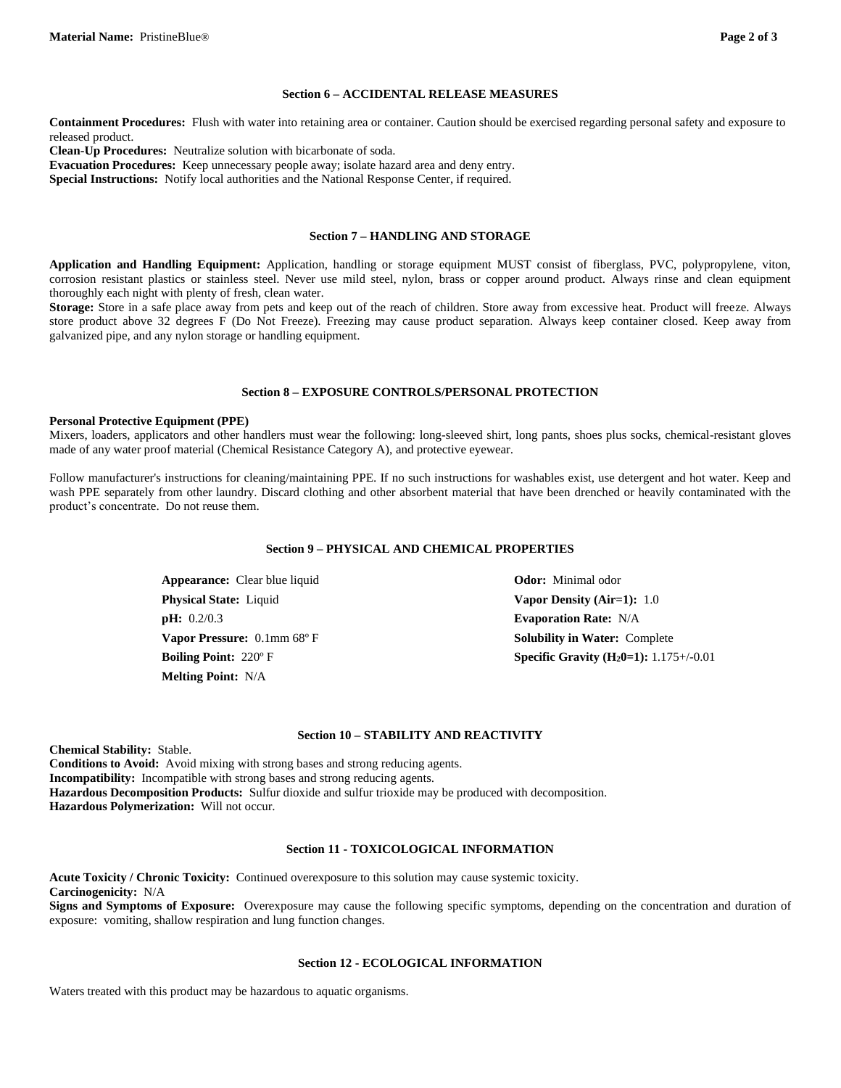#### **Section 6 – ACCIDENTAL RELEASE MEASURES**

**Containment Procedures:** Flush with water into retaining area or container. Caution should be exercised regarding personal safety and exposure to released product.

**Clean-Up Procedures:** Neutralize solution with bicarbonate of soda.

**Evacuation Procedures:** Keep unnecessary people away; isolate hazard area and deny entry.

**Special Instructions:** Notify local authorities and the National Response Center, if required.

#### **Section 7 – HANDLING AND STORAGE**

**Application and Handling Equipment:** Application, handling or storage equipment MUST consist of fiberglass, PVC, polypropylene, viton, corrosion resistant plastics or stainless steel. Never use mild steel, nylon, brass or copper around product. Always rinse and clean equipment thoroughly each night with plenty of fresh, clean water.

**Storage:** Store in a safe place away from pets and keep out of the reach of children. Store away from excessive heat. Product will freeze. Always store product above 32 degrees F (Do Not Freeze). Freezing may cause product separation. Always keep container closed. Keep away from galvanized pipe, and any nylon storage or handling equipment.

#### **Section 8 – EXPOSURE CONTROLS/PERSONAL PROTECTION**

#### **Personal Protective Equipment (PPE)**

Mixers, loaders, applicators and other handlers must wear the following: long-sleeved shirt, long pants, shoes plus socks, chemical-resistant gloves made of any water proof material (Chemical Resistance Category A), and protective eyewear.

Follow manufacturer's instructions for cleaning/maintaining PPE. If no such instructions for washables exist, use detergent and hot water. Keep and wash PPE separately from other laundry. Discard clothing and other absorbent material that have been drenched or heavily contaminated with the product's concentrate. Do not reuse them.

# **Section 9 – PHYSICAL AND CHEMICAL PROPERTIES**

Appearance: Clear blue liquid **Odor:** Minimal odor **Physical State:** Liquid **Vapor Density (Air=1):** 1.0 **pH:** 0.2/0.3 **Evaporation Rate:** N/A **Vapor Pressure:**  $0.1 \text{mm } 68^\circ \text{F}$  **Solubility in Water:** Complete **Melting Point:** N/A

**Boiling Point:** 220° F **Specific Gravity (H<sub>2</sub>0=1):** 1.175+/-0.01

#### **Section 10 – STABILITY AND REACTIVITY**

**Chemical Stability:** Stable. **Conditions to Avoid:** Avoid mixing with strong bases and strong reducing agents. **Incompatibility:** Incompatible with strong bases and strong reducing agents. **Hazardous Decomposition Products:** Sulfur dioxide and sulfur trioxide may be produced with decomposition. **Hazardous Polymerization:** Will not occur.

#### **Section 11 - TOXICOLOGICAL INFORMATION**

**Acute Toxicity / Chronic Toxicity:** Continued overexposure to this solution may cause systemic toxicity. **Carcinogenicity:** N/A **Signs and Symptoms of Exposure:** Overexposure may cause the following specific symptoms, depending on the concentration and duration of exposure: vomiting, shallow respiration and lung function changes.

#### **Section 12 - ECOLOGICAL INFORMATION**

Waters treated with this product may be hazardous to aquatic organisms.